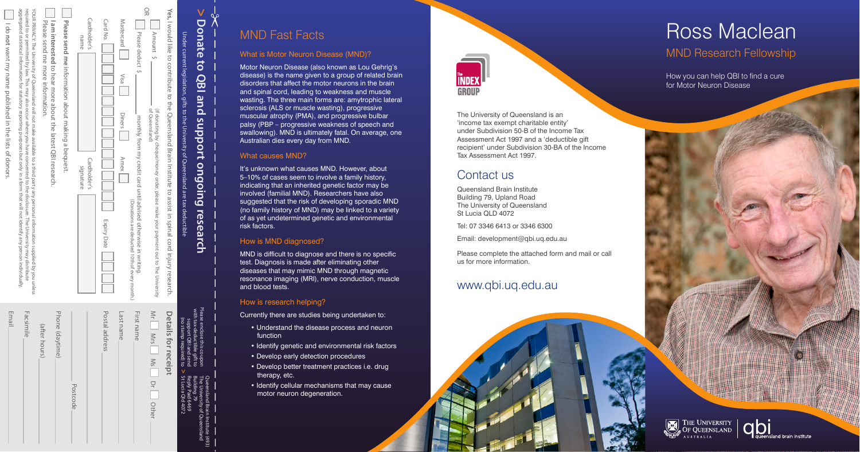# MND Fast Facts

#### What is Motor Neuron Disease (MND)?

Motor Neuron Disease (also known as Lou Gehrig's disease) is the name given to a group of related brain disorders that affect the motor neurons in the brain and spinal cord, leading to weakness and muscle wasting. The three main forms are: amytrophic lateral sclerosis (ALS or muscle wasting), progressive muscular atrophy (PMA), and progressive bulbar palsy (PBP – progressive weakness of speech and swallowing). MND is ultimately fatal. On average, one Australian dies every day from MND.

It's unknown what causes MND. However, about 5–10% of cases seem to involve a family history, indicating that an inherited genetic factor may be involved (familial MND). Researchers have also suggested that the risk of developing sporadic MND (no family history of MND) may be linked to a variety of as yet undetermined genetic and environmental risk factors.

#### How is MND diagnosed?

#### What causes MND?

Queensland Brain Institute Building 79, Upland Road The University of Queensland St Lucia QLD 4072

MND is difficult to diagnose and there is no specific test. Diagnosis is made after eliminating other diseases that may mimic MND through magnetic resonance imaging (MRI), nerve conduction, muscle and blood tests.

#### How is research helping?

Currently there are studies being undertaken to:

- Understand the disease process and neuron function
- Identify genetic and environmental risk factors
- Develop early detection procedures
- Develop better treatment practices i.e. drug therapy, etc.
- Identify cellular mechanisms that may cause motor neuron degeneration.



The University of Queensland is an 'income tax exempt charitable entity' under Subdivision 50-B of the Income Tax Assessment Act 1997 and a 'deductible gift recipient' under Subdivision 30-BA of the Income Tax Assessment Act 1997.

## Contact us

Tel: 07 3346 6413 or 3346 6300

Email: development@qbi.uq.edu.au

Please complete the attached form and mail or call us for more information.

### www.qbi.uq.edu.au

| <b>Ponate to QBI and support ongoing research</b><br>Under current legislation, gifts to the University of Queensland are tax deductible                                                                                                                                                                                                                                                                        | Please enclose this<br>Please enclose this coupon<br>with tax-deductible gift to<br>(no stamp requ<br>support QBI and send<br>$\frac{1}{2}$ ired) to > St Lucia Qld 4072<br>The University of Queensland<br>Building 79<br>Reply Paid 6469<br>Queensland Brain Institute (493) |
|-----------------------------------------------------------------------------------------------------------------------------------------------------------------------------------------------------------------------------------------------------------------------------------------------------------------------------------------------------------------------------------------------------------------|--------------------------------------------------------------------------------------------------------------------------------------------------------------------------------------------------------------------------------------------------------------------------------|
|                                                                                                                                                                                                                                                                                                                                                                                                                 | Details for<br>receipt                                                                                                                                                                                                                                                         |
| 읖<br>Amount \$<br>of Queensland)<br>(if donating by cheque/money order, please make your payment out to The University)                                                                                                                                                                                                                                                                                         | Mr <sub>I</sub> Mrs<br>Ms<br>IDr<br>Other                                                                                                                                                                                                                                      |
| Please deduct \$<br>monthly from my credit card until advised otherwise in writing.<br>(Donations are deducted 10th of every month).                                                                                                                                                                                                                                                                            | First name                                                                                                                                                                                                                                                                     |
| Mastercard<br>Visa<br>Diners [<br>Amex <sup>[</sup>                                                                                                                                                                                                                                                                                                                                                             | Last name                                                                                                                                                                                                                                                                      |
| Card No.  <br>For the company of the company of the company of the company of the company of the company of the company of the company of the company of the company of the company of the company of the company of the company of the comp<br>Expiry Date $\ \cdot\ $                                                                                                                                         | Postal address                                                                                                                                                                                                                                                                 |
| Cardholder's<br>name<br>Cardholder's<br>signature                                                                                                                                                                                                                                                                                                                                                               |                                                                                                                                                                                                                                                                                |
| Please send me information about making a bequest.                                                                                                                                                                                                                                                                                                                                                              | Postcode                                                                                                                                                                                                                                                                       |
| I am interested to hear more about the latest OBI research:<br>Please send me more information                                                                                                                                                                                                                                                                                                                  | Phone (daytime)<br>(after hours)                                                                                                                                                                                                                                               |
| aggregated statistical information for statutory reporting purposes but only in a form that will not identify any person individually.<br>required to or permitted by law. This may also occur where you have consented to the disclosure. The University may distribute<br>YOUR PRIVACY: The University of Queensland will not make available to a third party any personal information supplied by you unless | Facsimile                                                                                                                                                                                                                                                                      |
| <u>I</u> I Lao not vant ny name published in the lists of donors.                                                                                                                                                                                                                                                                                                                                               | <b>Email</b>                                                                                                                                                                                                                                                                   |

# Ross Maclean MND Research Fellowship

How you can help QBI to find a cure for Motor Neuron Disease